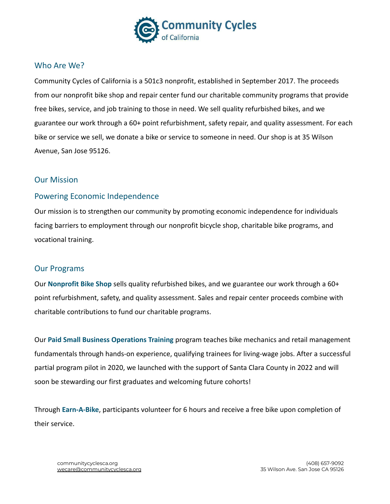

### Who Are We?

Community Cycles of California is a 501c3 nonprofit, established in September 2017. The proceeds from our nonprofit bike shop and repair center fund our charitable community programs that provide free bikes, service, and job training to those in need. We sell quality refurbished bikes, and we guarantee our work through a 60+ point refurbishment, safety repair, and quality assessment. For each bike or service we sell, we donate a bike or service to someone in need. Our shop is at 35 Wilson Avenue, San Jose 95126.

## Our Mission

## Powering Economic Independence

Our mission is to strengthen our community by promoting economic independence for individuals facing barriers to employment through our nonprofit bicycle shop, charitable bike programs, and vocational training.

#### Our Programs

Our **Nonprofit Bike Shop** sells quality refurbished bikes, and we guarantee our work through a 60+ point refurbishment, safety, and quality assessment. Sales and repair center proceeds combine with charitable contributions to fund our charitable programs.

Our **Paid Small Business Operations Training** program teaches bike mechanics and retail management fundamentals through hands-on experience, qualifying trainees for living-wage jobs. After a successful partial program pilot in 2020, we launched with the support of Santa Clara County in 2022 and will soon be stewarding our first graduates and welcoming future cohorts!

Through **Earn-A-Bike**, participants volunteer for 6 hours and receive a free bike upon completion of their service.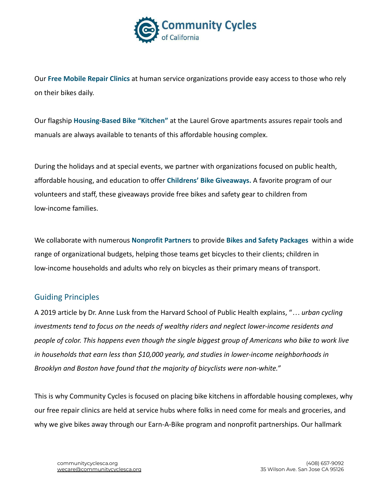

Our **Free Mobile Repair Clinics** at human service organizations provide easy access to those who rely on their bikes daily.

Our flagship **Housing-Based Bike "Kitchen"** at the Laurel Grove apartments assures repair tools and manuals are always available to tenants of this affordable housing complex.

During the holidays and at special events, we partner with organizations focused on public health, affordable housing, and education to offer **Childrens' Bike Giveaways.** A favorite program of our volunteers and staff, these giveaways provide free bikes and safety gear to children from low-income families.

We collaborate with numerous **Nonprofit Partners** to provide **Bikes and Safety Packages** within a wide range of organizational budgets, helping those teams get bicycles to their clients; children in low-income households and adults who rely on bicycles as their primary means of transport.

## Guiding Principles

A 2019 article by Dr. Anne Lusk from the Harvard School of Public Health explains, "*… urban cycling investments tend to focus on the needs of wealthy riders and neglect lower-income residents and people of color. This happens even though the single biggest group of Americans who bike to work live in households that earn less than \$10,000 yearly, and studies in lower-income neighborhoods in Brooklyn and Boston have found that the majority of bicyclists were non-white."*

This is why Community Cycles is focused on placing bike kitchens in affordable housing complexes, why our free repair clinics are held at service hubs where folks in need come for meals and groceries, and why we give bikes away through our Earn-A-Bike program and nonprofit partnerships. Our hallmark